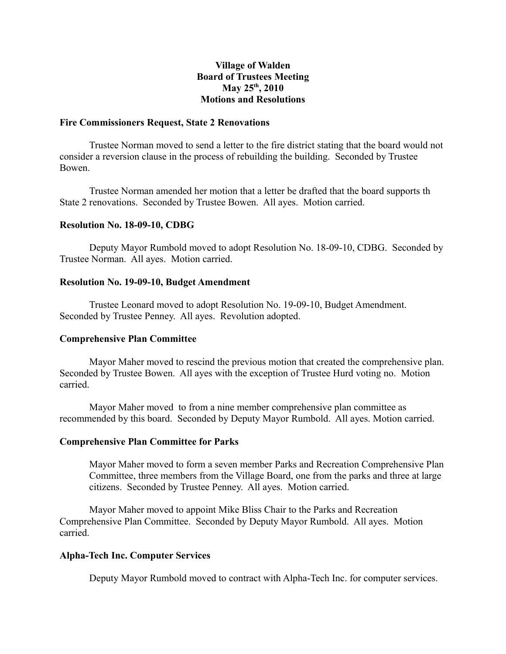# **Village of Walden Board of Trustees Meeting May 25th, 2010 Motions and Resolutions**

#### **Fire Commissioners Request, State 2 Renovations**

Trustee Norman moved to send a letter to the fire district stating that the board would not consider a reversion clause in the process of rebuilding the building. Seconded by Trustee Bowen.

Trustee Norman amended her motion that a letter be drafted that the board supports th State 2 renovations. Seconded by Trustee Bowen. All ayes. Motion carried.

## **Resolution No. 18-09-10, CDBG**

Deputy Mayor Rumbold moved to adopt Resolution No. 18-09-10, CDBG. Seconded by Trustee Norman. All ayes. Motion carried.

## **Resolution No. 19-09-10, Budget Amendment**

Trustee Leonard moved to adopt Resolution No. 19-09-10, Budget Amendment. Seconded by Trustee Penney. All ayes. Revolution adopted.

## **Comprehensive Plan Committee**

Mayor Maher moved to rescind the previous motion that created the comprehensive plan. Seconded by Trustee Bowen. All ayes with the exception of Trustee Hurd voting no. Motion carried.

Mayor Maher moved to from a nine member comprehensive plan committee as recommended by this board. Seconded by Deputy Mayor Rumbold. All ayes. Motion carried.

#### **Comprehensive Plan Committee for Parks**

Mayor Maher moved to form a seven member Parks and Recreation Comprehensive Plan Committee, three members from the Village Board, one from the parks and three at large citizens. Seconded by Trustee Penney. All ayes. Motion carried.

Mayor Maher moved to appoint Mike Bliss Chair to the Parks and Recreation Comprehensive Plan Committee. Seconded by Deputy Mayor Rumbold. All ayes. Motion carried.

# **Alpha-Tech Inc. Computer Services**

Deputy Mayor Rumbold moved to contract with Alpha-Tech Inc. for computer services.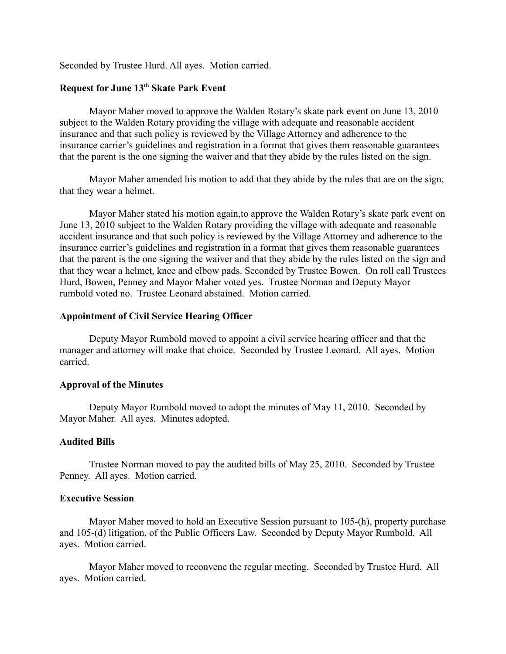Seconded by Trustee Hurd. All ayes. Motion carried.

# **Request for June 13th Skate Park Event**

Mayor Maher moved to approve the Walden Rotary's skate park event on June 13, 2010 subject to the Walden Rotary providing the village with adequate and reasonable accident insurance and that such policy is reviewed by the Village Attorney and adherence to the insurance carrier's guidelines and registration in a format that gives them reasonable guarantees that the parent is the one signing the waiver and that they abide by the rules listed on the sign.

Mayor Maher amended his motion to add that they abide by the rules that are on the sign, that they wear a helmet.

Mayor Maher stated his motion again,to approve the Walden Rotary's skate park event on June 13, 2010 subject to the Walden Rotary providing the village with adequate and reasonable accident insurance and that such policy is reviewed by the Village Attorney and adherence to the insurance carrier's guidelines and registration in a format that gives them reasonable guarantees that the parent is the one signing the waiver and that they abide by the rules listed on the sign and that they wear a helmet, knee and elbow pads. Seconded by Trustee Bowen. On roll call Trustees Hurd, Bowen, Penney and Mayor Maher voted yes. Trustee Norman and Deputy Mayor rumbold voted no. Trustee Leonard abstained. Motion carried.

## **Appointment of Civil Service Hearing Officer**

Deputy Mayor Rumbold moved to appoint a civil service hearing officer and that the manager and attorney will make that choice. Seconded by Trustee Leonard. All ayes. Motion carried.

#### **Approval of the Minutes**

Deputy Mayor Rumbold moved to adopt the minutes of May 11, 2010. Seconded by Mayor Maher. All ayes. Minutes adopted.

## **Audited Bills**

Trustee Norman moved to pay the audited bills of May 25, 2010. Seconded by Trustee Penney. All ayes. Motion carried.

#### **Executive Session**

Mayor Maher moved to hold an Executive Session pursuant to 105-(h), property purchase and 105-(d) litigation, of the Public Officers Law. Seconded by Deputy Mayor Rumbold.All ayes. Motion carried.

Mayor Maher moved to reconvene the regular meeting. Seconded by Trustee Hurd. All ayes. Motion carried.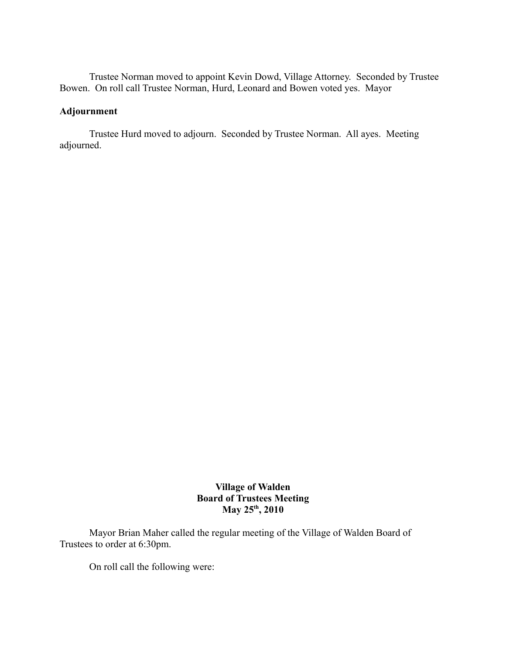Trustee Norman moved to appoint Kevin Dowd, Village Attorney. Seconded by Trustee Bowen. On roll call Trustee Norman, Hurd, Leonard and Bowen voted yes. Mayor

# **Adjournment**

Trustee Hurd moved to adjourn. Seconded by Trustee Norman. All ayes. Meeting adjourned.

> **Village of Walden Board of Trustees Meeting May 25th, 2010**

Mayor Brian Maher called the regular meeting of the Village of Walden Board of Trustees to order at 6:30pm.

On roll call the following were: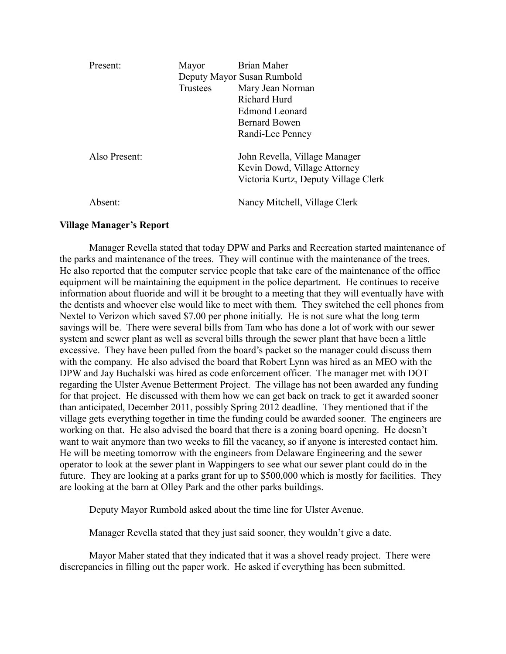| Present:      | Mayor<br>Trustees | Brian Maher<br>Deputy Mayor Susan Rumbold<br>Mary Jean Norman<br><b>Richard Hurd</b><br>Edmond Leonard<br><b>Bernard Bowen</b><br>Randi-Lee Penney |
|---------------|-------------------|----------------------------------------------------------------------------------------------------------------------------------------------------|
| Also Present: |                   | John Revella, Village Manager<br>Kevin Dowd, Village Attorney<br>Victoria Kurtz, Deputy Village Clerk                                              |
| Absent:       |                   | Nancy Mitchell, Village Clerk                                                                                                                      |

## **Village Manager's Report**

Manager Revella stated that today DPW and Parks and Recreation started maintenance of the parks and maintenance of the trees. They will continue with the maintenance of the trees. He also reported that the computer service people that take care of the maintenance of the office equipment will be maintaining the equipment in the police department. He continues to receive information about fluoride and will it be brought to a meeting that they will eventually have with the dentists and whoever else would like to meet with them. They switched the cell phones from Nextel to Verizon which saved \$7.00 per phone initially. He is not sure what the long term savings will be. There were several bills from Tam who has done a lot of work with our sewer system and sewer plant as well as several bills through the sewer plant that have been a little excessive. They have been pulled from the board's packet so the manager could discuss them with the company. He also advised the board that Robert Lynn was hired as an MEO with the DPW and Jay Buchalski was hired as code enforcement officer. The manager met with DOT regarding the Ulster Avenue Betterment Project. The village has not been awarded any funding for that project. He discussed with them how we can get back on track to get it awarded sooner than anticipated, December 2011, possibly Spring 2012 deadline. They mentioned that if the village gets everything together in time the funding could be awarded sooner. The engineers are working on that. He also advised the board that there is a zoning board opening. He doesn't want to wait anymore than two weeks to fill the vacancy, so if anyone is interested contact him. He will be meeting tomorrow with the engineers from Delaware Engineering and the sewer operator to look at the sewer plant in Wappingers to see what our sewer plant could do in the future. They are looking at a parks grant for up to \$500,000 which is mostly for facilities. They are looking at the barn at Olley Park and the other parks buildings.

Deputy Mayor Rumbold asked about the time line for Ulster Avenue.

Manager Revella stated that they just said sooner, they wouldn't give a date.

Mayor Maher stated that they indicated that it was a shovel ready project. There were discrepancies in filling out the paper work. He asked if everything has been submitted.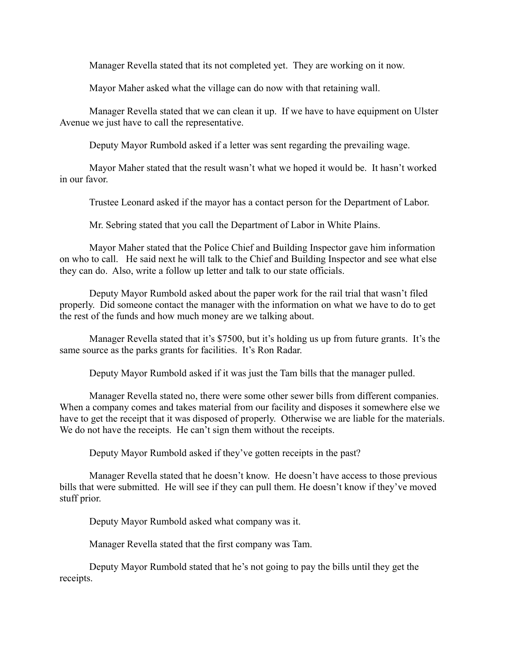Manager Revella stated that its not completed yet. They are working on it now.

Mayor Maher asked what the village can do now with that retaining wall.

Manager Revella stated that we can clean it up. If we have to have equipment on Ulster Avenue we just have to call the representative.

Deputy Mayor Rumbold asked if a letter was sent regarding the prevailing wage.

Mayor Maher stated that the result wasn't what we hoped it would be. It hasn't worked in our favor.

Trustee Leonard asked if the mayor has a contact person for the Department of Labor.

Mr. Sebring stated that you call the Department of Labor in White Plains.

Mayor Maher stated that the Police Chief and Building Inspector gave him information on who to call. He said next he will talk to the Chief and Building Inspector and see what else they can do. Also, write a follow up letter and talk to our state officials.

Deputy Mayor Rumbold asked about the paper work for the rail trial that wasn't filed properly. Did someone contact the manager with the information on what we have to do to get the rest of the funds and how much money are we talking about.

Manager Revella stated that it's \$7500, but it's holding us up from future grants. It's the same source as the parks grants for facilities. It's Ron Radar.

Deputy Mayor Rumbold asked if it was just the Tam bills that the manager pulled.

Manager Revella stated no, there were some other sewer bills from different companies. When a company comes and takes material from our facility and disposes it somewhere else we have to get the receipt that it was disposed of properly. Otherwise we are liable for the materials. We do not have the receipts. He can't sign them without the receipts.

Deputy Mayor Rumbold asked if they've gotten receipts in the past?

Manager Revella stated that he doesn't know. He doesn't have access to those previous bills that were submitted. He will see if they can pull them. He doesn't know if they've moved stuff prior.

Deputy Mayor Rumbold asked what company was it.

Manager Revella stated that the first company was Tam.

Deputy Mayor Rumbold stated that he's not going to pay the bills until they get the receipts.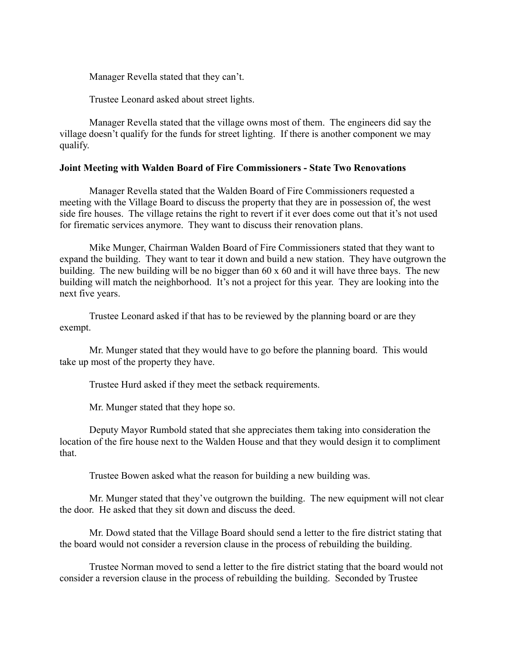Manager Revella stated that they can't.

Trustee Leonard asked about street lights.

Manager Revella stated that the village owns most of them. The engineers did say the village doesn't qualify for the funds for street lighting. If there is another component we may qualify.

#### **Joint Meeting with Walden Board of Fire Commissioners - State Two Renovations**

Manager Revella stated that the Walden Board of Fire Commissioners requested a meeting with the Village Board to discuss the property that they are in possession of, the west side fire houses. The village retains the right to revert if it ever does come out that it's not used for firematic services anymore. They want to discuss their renovation plans.

Mike Munger, Chairman Walden Board of Fire Commissioners stated that they want to expand the building. They want to tear it down and build a new station. They have outgrown the building. The new building will be no bigger than 60 x 60 and it will have three bays. The new building will match the neighborhood. It's not a project for this year. They are looking into the next five years.

Trustee Leonard asked if that has to be reviewed by the planning board or are they exempt.

Mr. Munger stated that they would have to go before the planning board. This would take up most of the property they have.

Trustee Hurd asked if they meet the setback requirements.

Mr. Munger stated that they hope so.

Deputy Mayor Rumbold stated that she appreciates them taking into consideration the location of the fire house next to the Walden House and that they would design it to compliment that.

Trustee Bowen asked what the reason for building a new building was.

Mr. Munger stated that they've outgrown the building. The new equipment will not clear the door. He asked that they sit down and discuss the deed.

Mr. Dowd stated that the Village Board should send a letter to the fire district stating that the board would not consider a reversion clause in the process of rebuilding the building.

Trustee Norman moved to send a letter to the fire district stating that the board would not consider a reversion clause in the process of rebuilding the building. Seconded by Trustee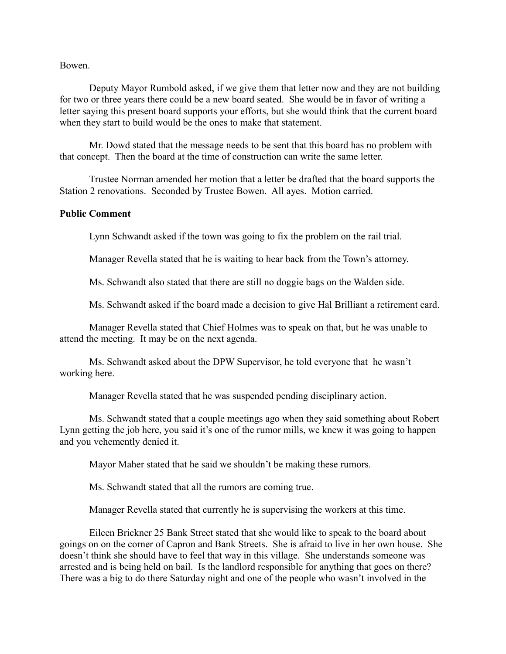#### Bowen.

Deputy Mayor Rumbold asked, if we give them that letter now and they are not building for two or three years there could be a new board seated. She would be in favor of writing a letter saying this present board supports your efforts, but she would think that the current board when they start to build would be the ones to make that statement.

Mr. Dowd stated that the message needs to be sent that this board has no problem with that concept. Then the board at the time of construction can write the same letter.

Trustee Norman amended her motion that a letter be drafted that the board supports the Station 2 renovations. Seconded by Trustee Bowen. All ayes. Motion carried.

## **Public Comment**

Lynn Schwandt asked if the town was going to fix the problem on the rail trial.

Manager Revella stated that he is waiting to hear back from the Town's attorney.

Ms. Schwandt also stated that there are still no doggie bags on the Walden side.

Ms. Schwandt asked if the board made a decision to give Hal Brilliant a retirement card.

Manager Revella stated that Chief Holmes was to speak on that, but he was unable to attend the meeting. It may be on the next agenda.

Ms. Schwandt asked about the DPW Supervisor, he told everyone that he wasn't working here.

Manager Revella stated that he was suspended pending disciplinary action.

Ms. Schwandt stated that a couple meetings ago when they said something about Robert Lynn getting the job here, you said it's one of the rumor mills, we knew it was going to happen and you vehemently denied it.

Mayor Maher stated that he said we shouldn't be making these rumors.

Ms. Schwandt stated that all the rumors are coming true.

Manager Revella stated that currently he is supervising the workers at this time.

Eileen Brickner 25 Bank Street stated that she would like to speak to the board about goings on on the corner of Capron and Bank Streets. She is afraid to live in her own house. She doesn't think she should have to feel that way in this village. She understands someone was arrested and is being held on bail. Is the landlord responsible for anything that goes on there? There was a big to do there Saturday night and one of the people who wasn't involved in the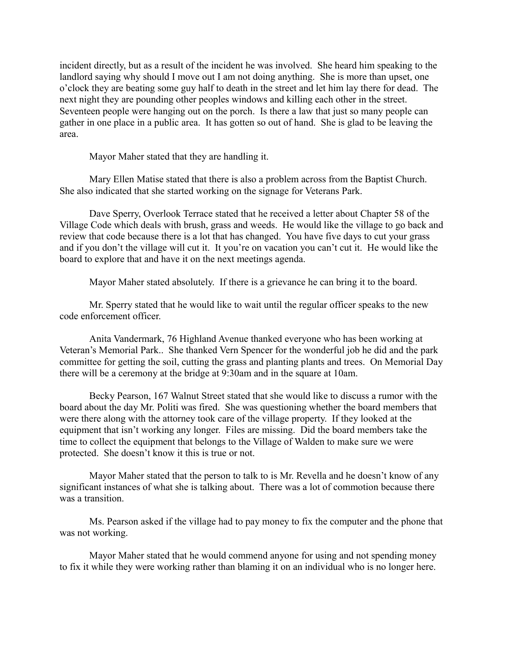incident directly, but as a result of the incident he was involved. She heard him speaking to the landlord saying why should I move out I am not doing anything. She is more than upset, one o'clock they are beating some guy half to death in the street and let him lay there for dead. The next night they are pounding other peoples windows and killing each other in the street. Seventeen people were hanging out on the porch. Is there a law that just so many people can gather in one place in a public area. It has gotten so out of hand. She is glad to be leaving the area.

Mayor Maher stated that they are handling it.

Mary Ellen Matise stated that there is also a problem across from the Baptist Church. She also indicated that she started working on the signage for Veterans Park.

Dave Sperry, Overlook Terrace stated that he received a letter about Chapter 58 of the Village Code which deals with brush, grass and weeds. He would like the village to go back and review that code because there is a lot that has changed. You have five days to cut your grass and if you don't the village will cut it. It you're on vacation you can't cut it. He would like the board to explore that and have it on the next meetings agenda.

Mayor Maher stated absolutely. If there is a grievance he can bring it to the board.

Mr. Sperry stated that he would like to wait until the regular officer speaks to the new code enforcement officer.

Anita Vandermark, 76 Highland Avenue thanked everyone who has been working at Veteran's Memorial Park.. She thanked Vern Spencer for the wonderful job he did and the park committee for getting the soil, cutting the grass and planting plants and trees. On Memorial Day there will be a ceremony at the bridge at 9:30am and in the square at 10am.

Becky Pearson, 167 Walnut Street stated that she would like to discuss a rumor with the board about the day Mr. Politi was fired. She was questioning whether the board members that were there along with the attorney took care of the village property. If they looked at the equipment that isn't working any longer. Files are missing. Did the board members take the time to collect the equipment that belongs to the Village of Walden to make sure we were protected. She doesn't know it this is true or not.

Mayor Maher stated that the person to talk to is Mr. Revella and he doesn't know of any significant instances of what she is talking about. There was a lot of commotion because there was a transition

Ms. Pearson asked if the village had to pay money to fix the computer and the phone that was not working.

Mayor Maher stated that he would commend anyone for using and not spending money to fix it while they were working rather than blaming it on an individual who is no longer here.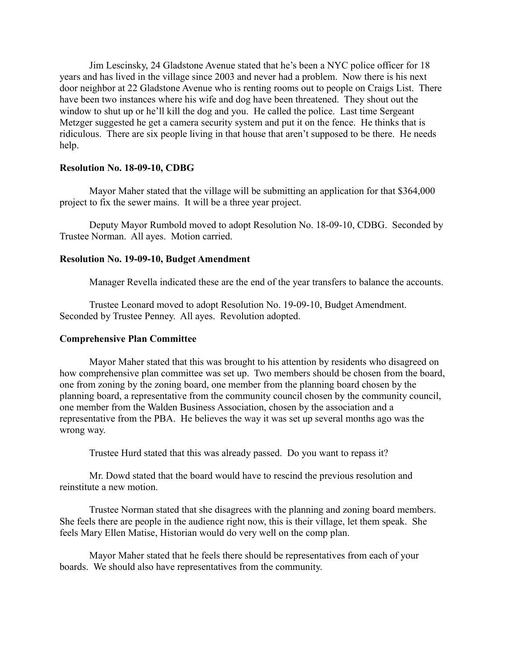Jim Lescinsky, 24 Gladstone Avenue stated that he's been a NYC police officer for 18 years and has lived in the village since 2003 and never had a problem. Now there is his next door neighbor at 22 Gladstone Avenue who is renting rooms out to people on Craigs List. There have been two instances where his wife and dog have been threatened. They shout out the window to shut up or he'll kill the dog and you. He called the police. Last time Sergeant Metzger suggested he get a camera security system and put it on the fence. He thinks that is ridiculous. There are six people living in that house that aren't supposed to be there. He needs help.

#### **Resolution No. 18-09-10, CDBG**

Mayor Maher stated that the village will be submitting an application for that \$364,000 project to fix the sewer mains. It will be a three year project.

Deputy Mayor Rumbold moved to adopt Resolution No. 18-09-10, CDBG. Seconded by Trustee Norman. All ayes. Motion carried.

#### **Resolution No. 19-09-10, Budget Amendment**

Manager Revella indicated these are the end of the year transfers to balance the accounts.

Trustee Leonard moved to adopt Resolution No. 19-09-10, Budget Amendment. Seconded by Trustee Penney. All ayes. Revolution adopted.

#### **Comprehensive Plan Committee**

Mayor Maher stated that this was brought to his attention by residents who disagreed on how comprehensive plan committee was set up. Two members should be chosen from the board, one from zoning by the zoning board, one member from the planning board chosen by the planning board, a representative from the community council chosen by the community council, one member from the Walden Business Association, chosen by the association and a representative from the PBA. He believes the way it was set up several months ago was the wrong way.

Trustee Hurd stated that this was already passed. Do you want to repass it?

Mr. Dowd stated that the board would have to rescind the previous resolution and reinstitute a new motion.

Trustee Norman stated that she disagrees with the planning and zoning board members. She feels there are people in the audience right now, this is their village, let them speak. She feels Mary Ellen Matise, Historian would do very well on the comp plan.

Mayor Maher stated that he feels there should be representatives from each of your boards. We should also have representatives from the community.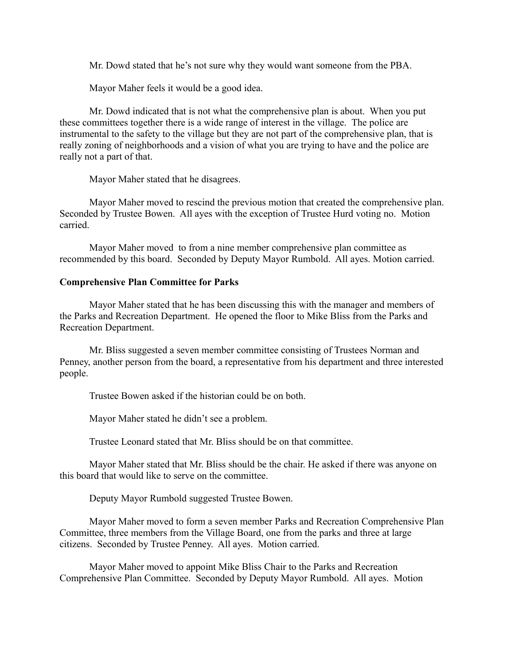Mr. Dowd stated that he's not sure why they would want someone from the PBA.

Mayor Maher feels it would be a good idea.

Mr. Dowd indicated that is not what the comprehensive plan is about. When you put these committees together there is a wide range of interest in the village. The police are instrumental to the safety to the village but they are not part of the comprehensive plan, that is really zoning of neighborhoods and a vision of what you are trying to have and the police are really not a part of that.

Mayor Maher stated that he disagrees.

Mayor Maher moved to rescind the previous motion that created the comprehensive plan. Seconded by Trustee Bowen. All ayes with the exception of Trustee Hurd voting no. Motion carried.

Mayor Maher moved to from a nine member comprehensive plan committee as recommended by this board. Seconded by Deputy Mayor Rumbold. All ayes. Motion carried.

## **Comprehensive Plan Committee for Parks**

Mayor Maher stated that he has been discussing this with the manager and members of the Parks and Recreation Department. He opened the floor to Mike Bliss from the Parks and Recreation Department.

Mr. Bliss suggested a seven member committee consisting of Trustees Norman and Penney, another person from the board, a representative from his department and three interested people.

Trustee Bowen asked if the historian could be on both.

Mayor Maher stated he didn't see a problem.

Trustee Leonard stated that Mr. Bliss should be on that committee.

Mayor Maher stated that Mr. Bliss should be the chair. He asked if there was anyone on this board that would like to serve on the committee.

Deputy Mayor Rumbold suggested Trustee Bowen.

Mayor Maher moved to form a seven member Parks and Recreation Comprehensive Plan Committee, three members from the Village Board, one from the parks and three at large citizens. Seconded by Trustee Penney. All ayes. Motion carried.

Mayor Maher moved to appoint Mike Bliss Chair to the Parks and Recreation Comprehensive Plan Committee. Seconded by Deputy Mayor Rumbold. All ayes. Motion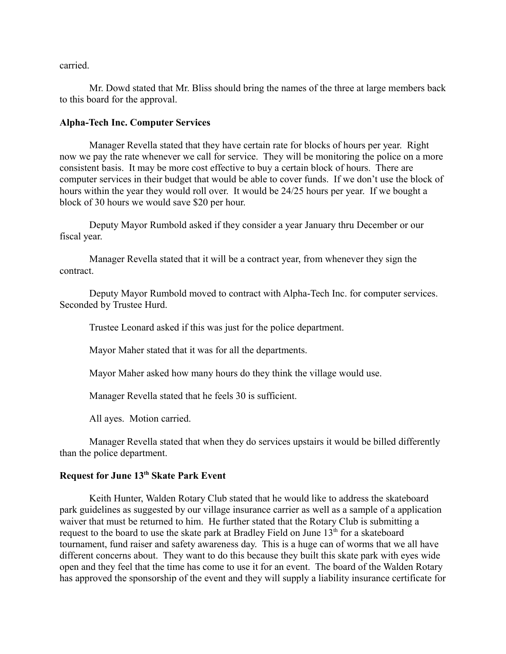carried.

Mr. Dowd stated that Mr. Bliss should bring the names of the three at large members back to this board for the approval.

## **Alpha-Tech Inc. Computer Services**

Manager Revella stated that they have certain rate for blocks of hours per year. Right now we pay the rate whenever we call for service. They will be monitoring the police on a more consistent basis. It may be more cost effective to buy a certain block of hours. There are computer services in their budget that would be able to cover funds. If we don't use the block of hours within the year they would roll over. It would be 24/25 hours per year. If we bought a block of 30 hours we would save \$20 per hour.

Deputy Mayor Rumbold asked if they consider a year January thru December or our fiscal year.

Manager Revella stated that it will be a contract year, from whenever they sign the contract.

Deputy Mayor Rumbold moved to contract with Alpha-Tech Inc. for computer services. Seconded by Trustee Hurd.

Trustee Leonard asked if this was just for the police department.

Mayor Maher stated that it was for all the departments.

Mayor Maher asked how many hours do they think the village would use.

Manager Revella stated that he feels 30 is sufficient.

All ayes. Motion carried.

Manager Revella stated that when they do services upstairs it would be billed differently than the police department.

# **Request for June 13th Skate Park Event**

Keith Hunter, Walden Rotary Club stated that he would like to address the skateboard park guidelines as suggested by our village insurance carrier as well as a sample of a application waiver that must be returned to him. He further stated that the Rotary Club is submitting a request to the board to use the skate park at Bradley Field on June  $13<sup>th</sup>$  for a skateboard tournament, fund raiser and safety awareness day. This is a huge can of worms that we all have different concerns about. They want to do this because they built this skate park with eyes wide open and they feel that the time has come to use it for an event. The board of the Walden Rotary has approved the sponsorship of the event and they will supply a liability insurance certificate for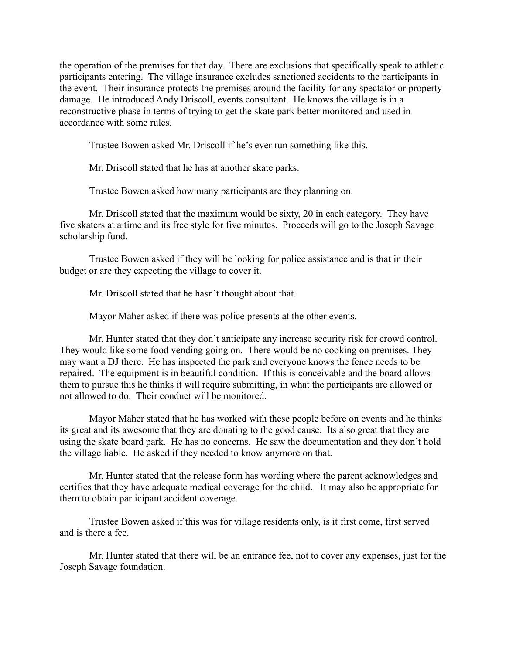the operation of the premises for that day. There are exclusions that specifically speak to athletic participants entering. The village insurance excludes sanctioned accidents to the participants in the event. Their insurance protects the premises around the facility for any spectator or property damage. He introduced Andy Driscoll, events consultant. He knows the village is in a reconstructive phase in terms of trying to get the skate park better monitored and used in accordance with some rules.

Trustee Bowen asked Mr. Driscoll if he's ever run something like this.

Mr. Driscoll stated that he has at another skate parks.

Trustee Bowen asked how many participants are they planning on.

Mr. Driscoll stated that the maximum would be sixty, 20 in each category. They have five skaters at a time and its free style for five minutes. Proceeds will go to the Joseph Savage scholarship fund.

Trustee Bowen asked if they will be looking for police assistance and is that in their budget or are they expecting the village to cover it.

Mr. Driscoll stated that he hasn't thought about that.

Mayor Maher asked if there was police presents at the other events.

Mr. Hunter stated that they don't anticipate any increase security risk for crowd control. They would like some food vending going on. There would be no cooking on premises. They may want a DJ there. He has inspected the park and everyone knows the fence needs to be repaired. The equipment is in beautiful condition. If this is conceivable and the board allows them to pursue this he thinks it will require submitting, in what the participants are allowed or not allowed to do. Their conduct will be monitored.

Mayor Maher stated that he has worked with these people before on events and he thinks its great and its awesome that they are donating to the good cause. Its also great that they are using the skate board park. He has no concerns. He saw the documentation and they don't hold the village liable. He asked if they needed to know anymore on that.

Mr. Hunter stated that the release form has wording where the parent acknowledges and certifies that they have adequate medical coverage for the child. It may also be appropriate for them to obtain participant accident coverage.

Trustee Bowen asked if this was for village residents only, is it first come, first served and is there a fee.

Mr. Hunter stated that there will be an entrance fee, not to cover any expenses, just for the Joseph Savage foundation.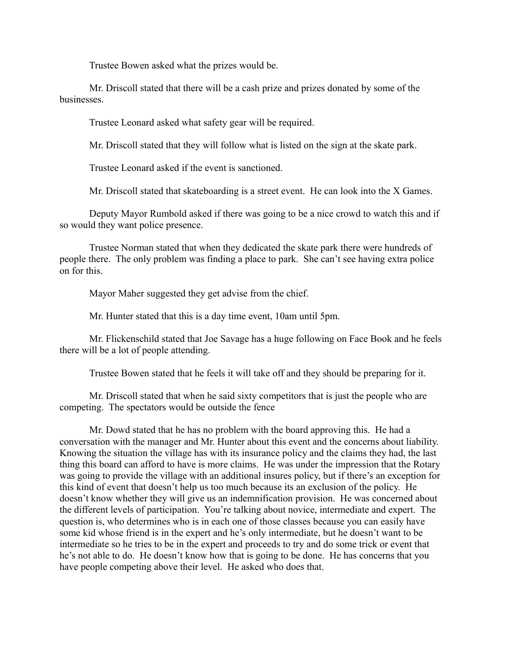Trustee Bowen asked what the prizes would be.

Mr. Driscoll stated that there will be a cash prize and prizes donated by some of the businesses.

Trustee Leonard asked what safety gear will be required.

Mr. Driscoll stated that they will follow what is listed on the sign at the skate park.

Trustee Leonard asked if the event is sanctioned.

Mr. Driscoll stated that skateboarding is a street event. He can look into the X Games.

Deputy Mayor Rumbold asked if there was going to be a nice crowd to watch this and if so would they want police presence.

Trustee Norman stated that when they dedicated the skate park there were hundreds of people there. The only problem was finding a place to park. She can't see having extra police on for this.

Mayor Maher suggested they get advise from the chief.

Mr. Hunter stated that this is a day time event, 10am until 5pm.

Mr. Flickenschild stated that Joe Savage has a huge following on Face Book and he feels there will be a lot of people attending.

Trustee Bowen stated that he feels it will take off and they should be preparing for it.

Mr. Driscoll stated that when he said sixty competitors that is just the people who are competing. The spectators would be outside the fence

Mr. Dowd stated that he has no problem with the board approving this. He had a conversation with the manager and Mr. Hunter about this event and the concerns about liability. Knowing the situation the village has with its insurance policy and the claims they had, the last thing this board can afford to have is more claims. He was under the impression that the Rotary was going to provide the village with an additional insures policy, but if there's an exception for this kind of event that doesn't help us too much because its an exclusion of the policy. He doesn't know whether they will give us an indemnification provision. He was concerned about the different levels of participation. You're talking about novice, intermediate and expert. The question is, who determines who is in each one of those classes because you can easily have some kid whose friend is in the expert and he's only intermediate, but he doesn't want to be intermediate so he tries to be in the expert and proceeds to try and do some trick or event that he's not able to do. He doesn't know how that is going to be done. He has concerns that you have people competing above their level. He asked who does that.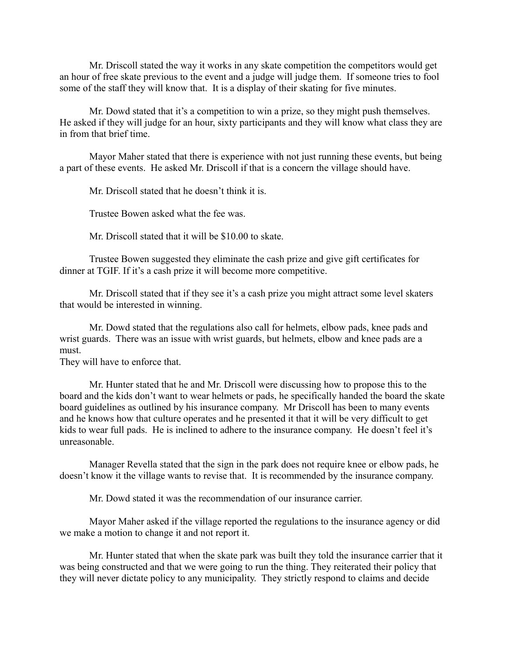Mr. Driscoll stated the way it works in any skate competition the competitors would get an hour of free skate previous to the event and a judge will judge them. If someone tries to fool some of the staff they will know that. It is a display of their skating for five minutes.

Mr. Dowd stated that it's a competition to win a prize, so they might push themselves. He asked if they will judge for an hour, sixty participants and they will know what class they are in from that brief time.

Mayor Maher stated that there is experience with not just running these events, but being a part of these events. He asked Mr. Driscoll if that is a concern the village should have.

Mr. Driscoll stated that he doesn't think it is.

Trustee Bowen asked what the fee was.

Mr. Driscoll stated that it will be \$10.00 to skate.

Trustee Bowen suggested they eliminate the cash prize and give gift certificates for dinner at TGIF. If it's a cash prize it will become more competitive.

Mr. Driscoll stated that if they see it's a cash prize you might attract some level skaters that would be interested in winning.

Mr. Dowd stated that the regulations also call for helmets, elbow pads, knee pads and wrist guards. There was an issue with wrist guards, but helmets, elbow and knee pads are a must.

They will have to enforce that.

Mr. Hunter stated that he and Mr. Driscoll were discussing how to propose this to the board and the kids don't want to wear helmets or pads, he specifically handed the board the skate board guidelines as outlined by his insurance company. Mr Driscoll has been to many events and he knows how that culture operates and he presented it that it will be very difficult to get kids to wear full pads. He is inclined to adhere to the insurance company. He doesn't feel it's unreasonable.

Manager Revella stated that the sign in the park does not require knee or elbow pads, he doesn't know it the village wants to revise that. It is recommended by the insurance company.

Mr. Dowd stated it was the recommendation of our insurance carrier.

Mayor Maher asked if the village reported the regulations to the insurance agency or did we make a motion to change it and not report it.

Mr. Hunter stated that when the skate park was built they told the insurance carrier that it was being constructed and that we were going to run the thing. They reiterated their policy that they will never dictate policy to any municipality. They strictly respond to claims and decide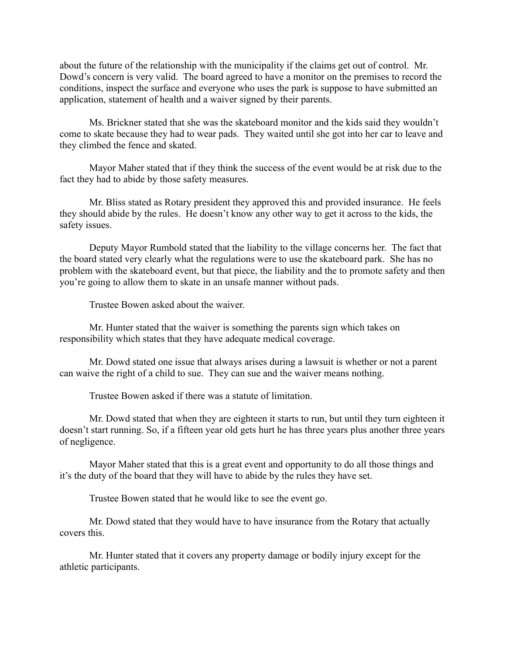about the future of the relationship with the municipality if the claims get out of control. Mr. Dowd's concern is very valid. The board agreed to have a monitor on the premises to record the conditions, inspect the surface and everyone who uses the park is suppose to have submitted an application, statement of health and a waiver signed by their parents.

Ms. Brickner stated that she was the skateboard monitor and the kids said they wouldn't come to skate because they had to wear pads. They waited until she got into her car to leave and they climbed the fence and skated.

Mayor Maher stated that if they think the success of the event would be at risk due to the fact they had to abide by those safety measures.

Mr. Bliss stated as Rotary president they approved this and provided insurance. He feels they should abide by the rules. He doesn't know any other way to get it across to the kids, the safety issues.

Deputy Mayor Rumbold stated that the liability to the village concerns her. The fact that the board stated very clearly what the regulations were to use the skateboard park. She has no problem with the skateboard event, but that piece, the liability and the to promote safety and then you're going to allow them to skate in an unsafe manner without pads.

Trustee Bowen asked about the waiver.

Mr. Hunter stated that the waiver is something the parents sign which takes on responsibility which states that they have adequate medical coverage.

Mr. Dowd stated one issue that always arises during a lawsuit is whether or not a parent can waive the right of a child to sue. They can sue and the waiver means nothing.

Trustee Bowen asked if there was a statute of limitation.

Mr. Dowd stated that when they are eighteen it starts to run, but until they turn eighteen it doesn't start running. So, if a fifteen year old gets hurt he has three years plus another three years of negligence.

Mayor Maher stated that this is a great event and opportunity to do all those things and it's the duty of the board that they will have to abide by the rules they have set.

Trustee Bowen stated that he would like to see the event go.

Mr. Dowd stated that they would have to have insurance from the Rotary that actually covers this.

Mr. Hunter stated that it covers any property damage or bodily injury except for the athletic participants.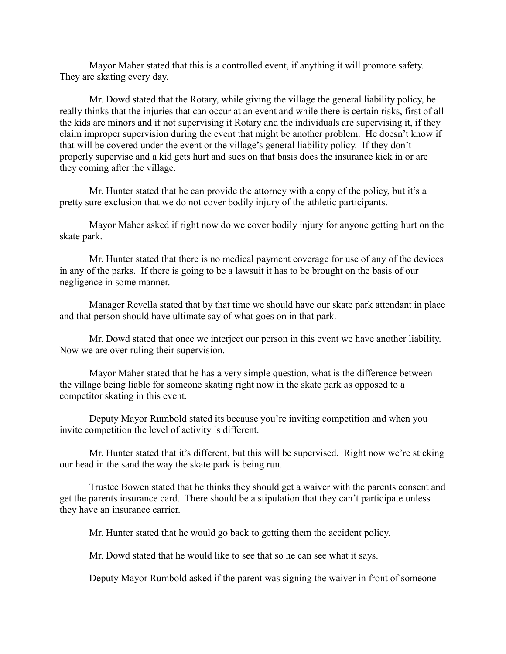Mayor Maher stated that this is a controlled event, if anything it will promote safety. They are skating every day.

Mr. Dowd stated that the Rotary, while giving the village the general liability policy, he really thinks that the injuries that can occur at an event and while there is certain risks, first of all the kids are minors and if not supervising it Rotary and the individuals are supervising it, if they claim improper supervision during the event that might be another problem. He doesn't know if that will be covered under the event or the village's general liability policy. If they don't properly supervise and a kid gets hurt and sues on that basis does the insurance kick in or are they coming after the village.

Mr. Hunter stated that he can provide the attorney with a copy of the policy, but it's a pretty sure exclusion that we do not cover bodily injury of the athletic participants.

Mayor Maher asked if right now do we cover bodily injury for anyone getting hurt on the skate park.

Mr. Hunter stated that there is no medical payment coverage for use of any of the devices in any of the parks. If there is going to be a lawsuit it has to be brought on the basis of our negligence in some manner.

Manager Revella stated that by that time we should have our skate park attendant in place and that person should have ultimate say of what goes on in that park.

Mr. Dowd stated that once we interject our person in this event we have another liability. Now we are over ruling their supervision.

Mayor Maher stated that he has a very simple question, what is the difference between the village being liable for someone skating right now in the skate park as opposed to a competitor skating in this event.

Deputy Mayor Rumbold stated its because you're inviting competition and when you invite competition the level of activity is different.

Mr. Hunter stated that it's different, but this will be supervised. Right now we're sticking our head in the sand the way the skate park is being run.

Trustee Bowen stated that he thinks they should get a waiver with the parents consent and get the parents insurance card. There should be a stipulation that they can't participate unless they have an insurance carrier.

Mr. Hunter stated that he would go back to getting them the accident policy.

Mr. Dowd stated that he would like to see that so he can see what it says.

Deputy Mayor Rumbold asked if the parent was signing the waiver in front of someone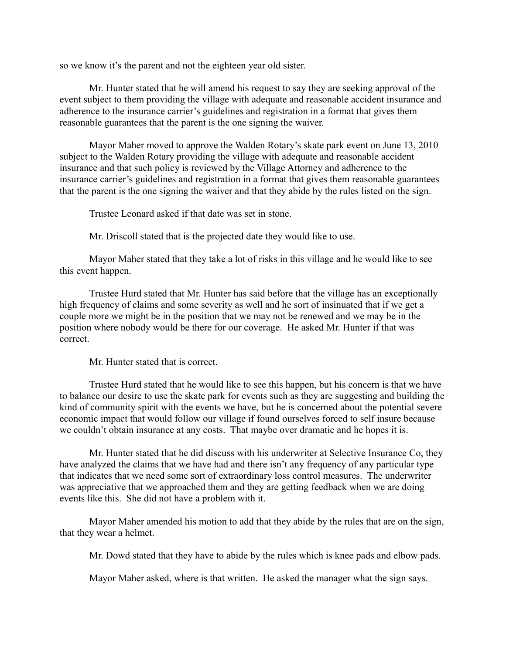so we know it's the parent and not the eighteen year old sister.

Mr. Hunter stated that he will amend his request to say they are seeking approval of the event subject to them providing the village with adequate and reasonable accident insurance and adherence to the insurance carrier's guidelines and registration in a format that gives them reasonable guarantees that the parent is the one signing the waiver.

Mayor Maher moved to approve the Walden Rotary's skate park event on June 13, 2010 subject to the Walden Rotary providing the village with adequate and reasonable accident insurance and that such policy is reviewed by the Village Attorney and adherence to the insurance carrier's guidelines and registration in a format that gives them reasonable guarantees that the parent is the one signing the waiver and that they abide by the rules listed on the sign.

Trustee Leonard asked if that date was set in stone.

Mr. Driscoll stated that is the projected date they would like to use.

Mayor Maher stated that they take a lot of risks in this village and he would like to see this event happen.

Trustee Hurd stated that Mr. Hunter has said before that the village has an exceptionally high frequency of claims and some severity as well and he sort of insinuated that if we get a couple more we might be in the position that we may not be renewed and we may be in the position where nobody would be there for our coverage. He asked Mr. Hunter if that was correct.

Mr. Hunter stated that is correct.

Trustee Hurd stated that he would like to see this happen, but his concern is that we have to balance our desire to use the skate park for events such as they are suggesting and building the kind of community spirit with the events we have, but he is concerned about the potential severe economic impact that would follow our village if found ourselves forced to self insure because we couldn't obtain insurance at any costs. That maybe over dramatic and he hopes it is.

Mr. Hunter stated that he did discuss with his underwriter at Selective Insurance Co, they have analyzed the claims that we have had and there isn't any frequency of any particular type that indicates that we need some sort of extraordinary loss control measures. The underwriter was appreciative that we approached them and they are getting feedback when we are doing events like this. She did not have a problem with it.

Mayor Maher amended his motion to add that they abide by the rules that are on the sign, that they wear a helmet.

Mr. Dowd stated that they have to abide by the rules which is knee pads and elbow pads.

Mayor Maher asked, where is that written. He asked the manager what the sign says.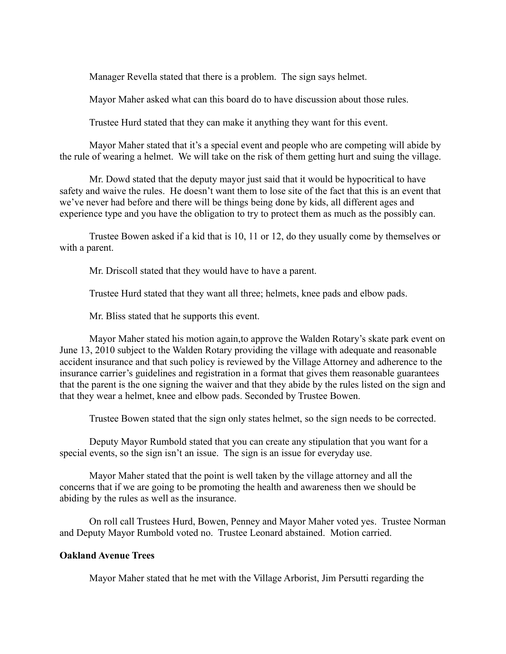Manager Revella stated that there is a problem. The sign says helmet.

Mayor Maher asked what can this board do to have discussion about those rules.

Trustee Hurd stated that they can make it anything they want for this event.

Mayor Maher stated that it's a special event and people who are competing will abide by the rule of wearing a helmet. We will take on the risk of them getting hurt and suing the village.

Mr. Dowd stated that the deputy mayor just said that it would be hypocritical to have safety and waive the rules. He doesn't want them to lose site of the fact that this is an event that we've never had before and there will be things being done by kids, all different ages and experience type and you have the obligation to try to protect them as much as the possibly can.

Trustee Bowen asked if a kid that is 10, 11 or 12, do they usually come by themselves or with a parent.

Mr. Driscoll stated that they would have to have a parent.

Trustee Hurd stated that they want all three; helmets, knee pads and elbow pads.

Mr. Bliss stated that he supports this event.

Mayor Maher stated his motion again,to approve the Walden Rotary's skate park event on June 13, 2010 subject to the Walden Rotary providing the village with adequate and reasonable accident insurance and that such policy is reviewed by the Village Attorney and adherence to the insurance carrier's guidelines and registration in a format that gives them reasonable guarantees that the parent is the one signing the waiver and that they abide by the rules listed on the sign and that they wear a helmet, knee and elbow pads. Seconded by Trustee Bowen.

Trustee Bowen stated that the sign only states helmet, so the sign needs to be corrected.

Deputy Mayor Rumbold stated that you can create any stipulation that you want for a special events, so the sign isn't an issue. The sign is an issue for everyday use.

Mayor Maher stated that the point is well taken by the village attorney and all the concerns that if we are going to be promoting the health and awareness then we should be abiding by the rules as well as the insurance.

On roll call Trustees Hurd, Bowen, Penney and Mayor Maher voted yes. Trustee Norman and Deputy Mayor Rumbold voted no. Trustee Leonard abstained. Motion carried.

#### **Oakland Avenue Trees**

Mayor Maher stated that he met with the Village Arborist, Jim Persutti regarding the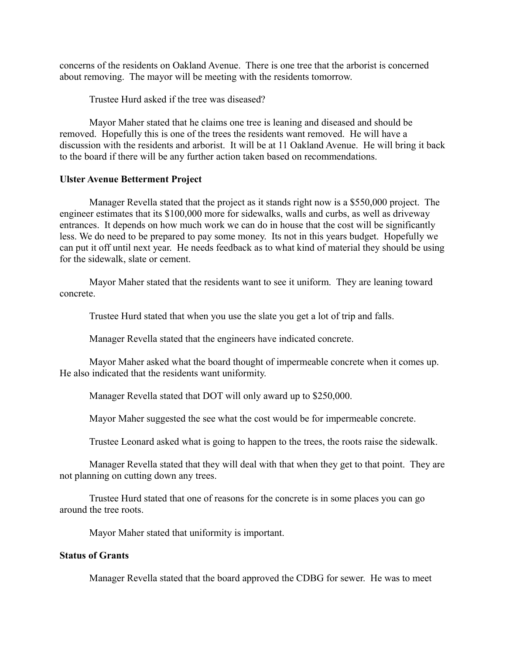concerns of the residents on Oakland Avenue. There is one tree that the arborist is concerned about removing. The mayor will be meeting with the residents tomorrow.

Trustee Hurd asked if the tree was diseased?

Mayor Maher stated that he claims one tree is leaning and diseased and should be removed. Hopefully this is one of the trees the residents want removed. He will have a discussion with the residents and arborist. It will be at 11 Oakland Avenue. He will bring it back to the board if there will be any further action taken based on recommendations.

#### **Ulster Avenue Betterment Project**

Manager Revella stated that the project as it stands right now is a \$550,000 project. The engineer estimates that its \$100,000 more for sidewalks, walls and curbs, as well as driveway entrances. It depends on how much work we can do in house that the cost will be significantly less. We do need to be prepared to pay some money. Its not in this years budget. Hopefully we can put it off until next year. He needs feedback as to what kind of material they should be using for the sidewalk, slate or cement.

Mayor Maher stated that the residents want to see it uniform. They are leaning toward concrete.

Trustee Hurd stated that when you use the slate you get a lot of trip and falls.

Manager Revella stated that the engineers have indicated concrete.

Mayor Maher asked what the board thought of impermeable concrete when it comes up. He also indicated that the residents want uniformity.

Manager Revella stated that DOT will only award up to \$250,000.

Mayor Maher suggested the see what the cost would be for impermeable concrete.

Trustee Leonard asked what is going to happen to the trees, the roots raise the sidewalk.

Manager Revella stated that they will deal with that when they get to that point. They are not planning on cutting down any trees.

Trustee Hurd stated that one of reasons for the concrete is in some places you can go around the tree roots.

Mayor Maher stated that uniformity is important.

## **Status of Grants**

Manager Revella stated that the board approved the CDBG for sewer. He was to meet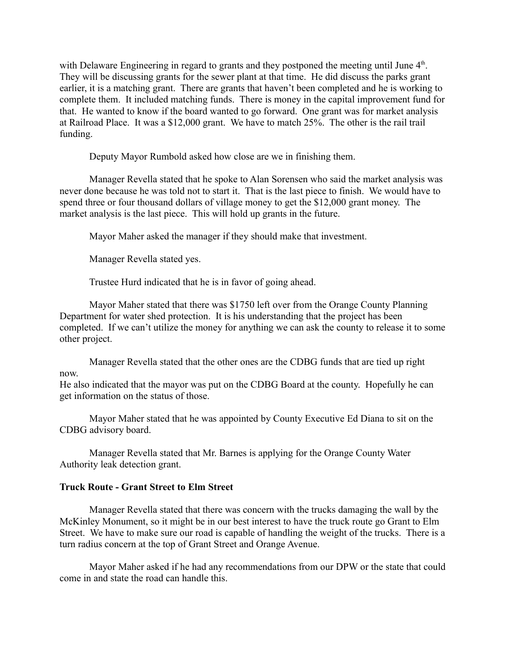with Delaware Engineering in regard to grants and they postponed the meeting until June  $4<sup>th</sup>$ . They will be discussing grants for the sewer plant at that time. He did discuss the parks grant earlier, it is a matching grant. There are grants that haven't been completed and he is working to complete them. It included matching funds. There is money in the capital improvement fund for that. He wanted to know if the board wanted to go forward. One grant was for market analysis at Railroad Place. It was a \$12,000 grant. We have to match 25%. The other is the rail trail funding.

Deputy Mayor Rumbold asked how close are we in finishing them.

Manager Revella stated that he spoke to Alan Sorensen who said the market analysis was never done because he was told not to start it. That is the last piece to finish. We would have to spend three or four thousand dollars of village money to get the \$12,000 grant money. The market analysis is the last piece. This will hold up grants in the future.

Mayor Maher asked the manager if they should make that investment.

Manager Revella stated yes.

Trustee Hurd indicated that he is in favor of going ahead.

Mayor Maher stated that there was \$1750 left over from the Orange County Planning Department for water shed protection. It is his understanding that the project has been completed. If we can't utilize the money for anything we can ask the county to release it to some other project.

Manager Revella stated that the other ones are the CDBG funds that are tied up right now.

He also indicated that the mayor was put on the CDBG Board at the county. Hopefully he can get information on the status of those.

Mayor Maher stated that he was appointed by County Executive Ed Diana to sit on the CDBG advisory board.

Manager Revella stated that Mr. Barnes is applying for the Orange County Water Authority leak detection grant.

## **Truck Route - Grant Street to Elm Street**

Manager Revella stated that there was concern with the trucks damaging the wall by the McKinley Monument, so it might be in our best interest to have the truck route go Grant to Elm Street. We have to make sure our road is capable of handling the weight of the trucks. There is a turn radius concern at the top of Grant Street and Orange Avenue.

Mayor Maher asked if he had any recommendations from our DPW or the state that could come in and state the road can handle this.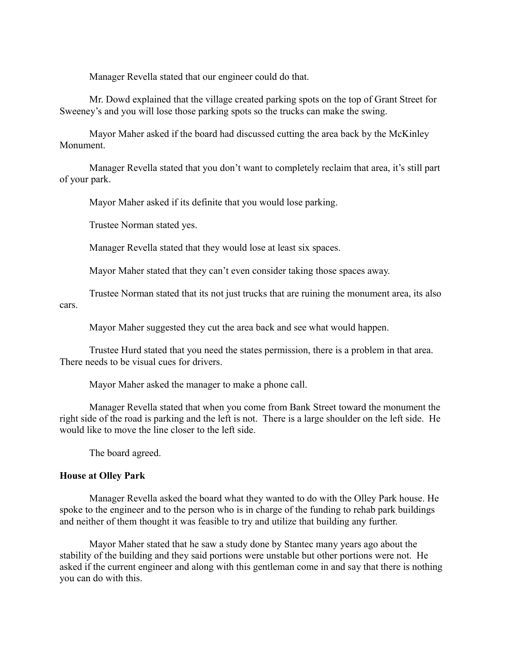Manager Revella stated that our engineer could do that.

Mr. Dowd explained that the village created parking spots on the top of Grant Street for Sweeney's and you will lose those parking spots so the trucks can make the swing.

Mayor Maher asked if the board had discussed cutting the area back by the McKinley Monument.

Manager Revella stated that you don't want to completely reclaim that area, it's still part of your park.

Mayor Maher asked if its definite that you would lose parking.

Trustee Norman stated yes.

Manager Revella stated that they would lose at least six spaces.

Mayor Maher stated that they can't even consider taking those spaces away.

Trustee Norman stated that its not just trucks that are ruining the monument area, its also cars.

Mayor Maher suggested they cut the area back and see what would happen.

Trustee Hurd stated that you need the states permission, there is a problem in that area. There needs to be visual cues for drivers.

Mayor Maher asked the manager to make a phone call.

Manager Revella stated that when you come from Bank Street toward the monument the right side of the road is parking and the left is not. There is a large shoulder on the left side. He would like to move the line closer to the left side.

The board agreed.

#### **House at Olley Park**

Manager Revella asked the board what they wanted to do with the Olley Park house. He spoke to the engineer and to the person who is in charge of the funding to rehab park buildings and neither of them thought it was feasible to try and utilize that building any further.

Mayor Maher stated that he saw a study done by Stantec many years ago about the stability of the building and they said portions were unstable but other portions were not. He asked if the current engineer and along with this gentleman come in and say that there is nothing you can do with this.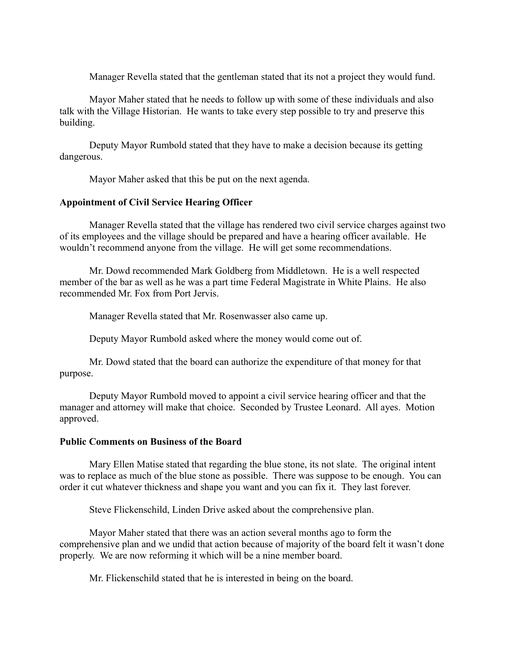Manager Revella stated that the gentleman stated that its not a project they would fund.

Mayor Maher stated that he needs to follow up with some of these individuals and also talk with the Village Historian. He wants to take every step possible to try and preserve this building.

Deputy Mayor Rumbold stated that they have to make a decision because its getting dangerous.

Mayor Maher asked that this be put on the next agenda.

## **Appointment of Civil Service Hearing Officer**

Manager Revella stated that the village has rendered two civil service charges against two of its employees and the village should be prepared and have a hearing officer available. He wouldn't recommend anyone from the village. He will get some recommendations.

Mr. Dowd recommended Mark Goldberg from Middletown. He is a well respected member of the bar as well as he was a part time Federal Magistrate in White Plains. He also recommended Mr. Fox from Port Jervis.

Manager Revella stated that Mr. Rosenwasser also came up.

Deputy Mayor Rumbold asked where the money would come out of.

Mr. Dowd stated that the board can authorize the expenditure of that money for that purpose.

Deputy Mayor Rumbold moved to appoint a civil service hearing officer and that the manager and attorney will make that choice. Seconded by Trustee Leonard. All ayes. Motion approved.

#### **Public Comments on Business of the Board**

Mary Ellen Matise stated that regarding the blue stone, its not slate. The original intent was to replace as much of the blue stone as possible. There was suppose to be enough. You can order it cut whatever thickness and shape you want and you can fix it. They last forever.

Steve Flickenschild, Linden Drive asked about the comprehensive plan.

Mayor Maher stated that there was an action several months ago to form the comprehensive plan and we undid that action because of majority of the board felt it wasn't done properly. We are now reforming it which will be a nine member board.

Mr. Flickenschild stated that he is interested in being on the board.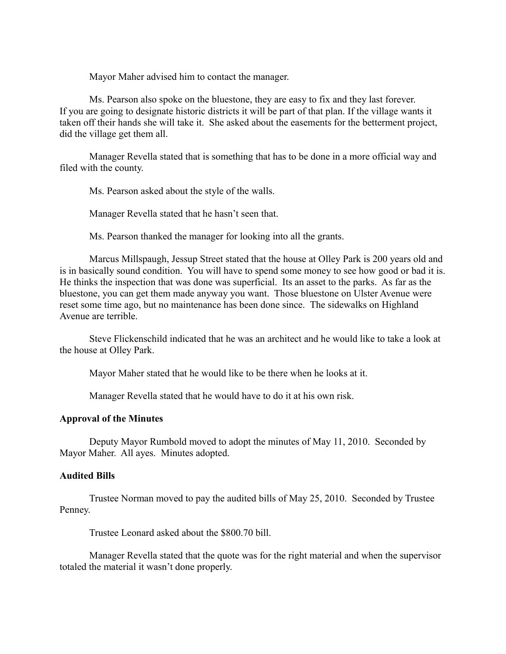Mayor Maher advised him to contact the manager.

Ms. Pearson also spoke on the bluestone, they are easy to fix and they last forever. If you are going to designate historic districts it will be part of that plan. If the village wants it taken off their hands she will take it. She asked about the easements for the betterment project, did the village get them all.

Manager Revella stated that is something that has to be done in a more official way and filed with the county.

Ms. Pearson asked about the style of the walls.

Manager Revella stated that he hasn't seen that.

Ms. Pearson thanked the manager for looking into all the grants.

Marcus Millspaugh, Jessup Street stated that the house at Olley Park is 200 years old and is in basically sound condition. You will have to spend some money to see how good or bad it is. He thinks the inspection that was done was superficial. Its an asset to the parks. As far as the bluestone, you can get them made anyway you want. Those bluestone on Ulster Avenue were reset some time ago, but no maintenance has been done since. The sidewalks on Highland Avenue are terrible.

Steve Flickenschild indicated that he was an architect and he would like to take a look at the house at Olley Park.

Mayor Maher stated that he would like to be there when he looks at it.

Manager Revella stated that he would have to do it at his own risk.

## **Approval of the Minutes**

Deputy Mayor Rumbold moved to adopt the minutes of May 11, 2010. Seconded by Mayor Maher. All ayes. Minutes adopted.

## **Audited Bills**

Trustee Norman moved to pay the audited bills of May 25, 2010. Seconded by Trustee Penney.

Trustee Leonard asked about the \$800.70 bill.

Manager Revella stated that the quote was for the right material and when the supervisor totaled the material it wasn't done properly.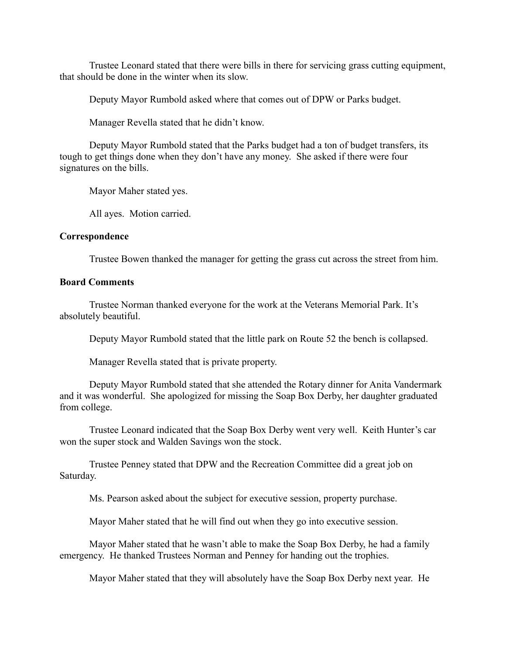Trustee Leonard stated that there were bills in there for servicing grass cutting equipment, that should be done in the winter when its slow.

Deputy Mayor Rumbold asked where that comes out of DPW or Parks budget.

Manager Revella stated that he didn't know.

Deputy Mayor Rumbold stated that the Parks budget had a ton of budget transfers, its tough to get things done when they don't have any money. She asked if there were four signatures on the bills.

Mayor Maher stated yes.

All ayes. Motion carried.

## **Correspondence**

Trustee Bowen thanked the manager for getting the grass cut across the street from him.

## **Board Comments**

Trustee Norman thanked everyone for the work at the Veterans Memorial Park. It's absolutely beautiful.

Deputy Mayor Rumbold stated that the little park on Route 52 the bench is collapsed.

Manager Revella stated that is private property.

Deputy Mayor Rumbold stated that she attended the Rotary dinner for Anita Vandermark and it was wonderful. She apologized for missing the Soap Box Derby, her daughter graduated from college.

Trustee Leonard indicated that the Soap Box Derby went very well. Keith Hunter's car won the super stock and Walden Savings won the stock.

Trustee Penney stated that DPW and the Recreation Committee did a great job on Saturday.

Ms. Pearson asked about the subject for executive session, property purchase.

Mayor Maher stated that he will find out when they go into executive session.

Mayor Maher stated that he wasn't able to make the Soap Box Derby, he had a family emergency. He thanked Trustees Norman and Penney for handing out the trophies.

Mayor Maher stated that they will absolutely have the Soap Box Derby next year. He